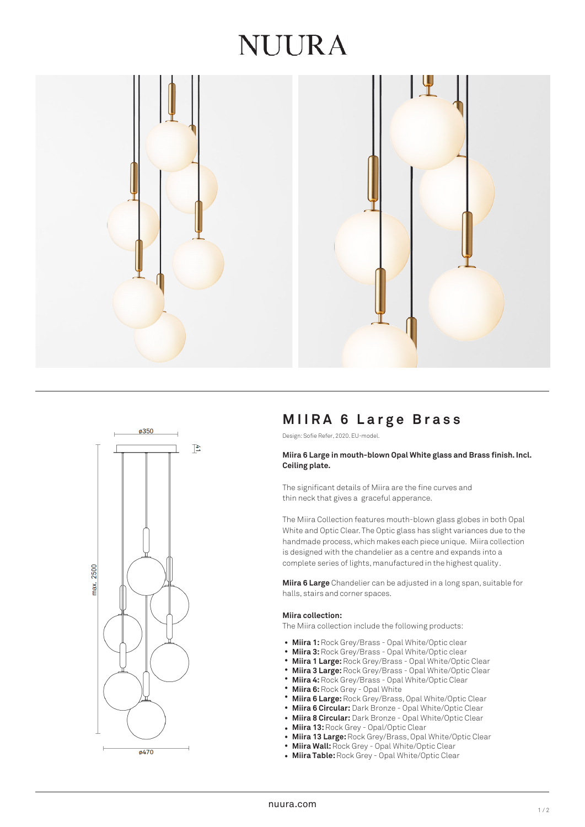# NUIRA





# **MIIRA 6 Large Bras s**

Design: Sofie Refer, 2020. EU-model.

## **Miira 6 Large in mouth-blown Opal White glass and Brass finish. Incl. Ceiling plate.**

The significant details of Miira are the fine curves and thin neck that gives a graceful apperance.

The Miira Collection features mouth-blown glass globes in both Opal White and Optic Clear. The Optic glass has slight variances due to the handmade process, which makes each piece unique. Miira collection is designed with the chandelier as a centre and expands into a complete series of lights, manufactured in the highest quality.

**Miira 6 Large** Chandelier can be adjusted in a long span, suitable for halls, stairs and corner spaces.

## **Miira collection:**

The Miira collection include the following products:

- Miira 1: Rock Grey/Brass Opal White/Optic clear
- **Miira 3:** Rock Grey/Brass Opal White/Optic clear •
- **Miira 1 Large:** Rock Grey/Brass Opal White/Optic Clear •
- **Miira 3 Large:** Rock Grey/Brass Opal White/Optic Clear •
- **Miira 4:** Rock Grey/Brass Opal White/Optic Clear •
- **Miira 6:** Rock Grey Opal White •
- **Miira 6 Large:** Rock Grey/Brass, Opal White/Optic Clear •
- **Miira 6 Circular:** Dark Bronze Opal White/Optic Clear
- **Miira 8 Circular:** Dark Bronze Opal White/Optic Clear •
- **Miira 13:** Rock Grey - Opal/Optic Clear
- **Miira 13 Large:** Rock Grey/Brass, Opal White/Optic Clear •
- **Miira Wall:** Rock Grey Opal White/Optic Clear •
- **Miira Table:** Rock Grey Opal White/Optic Clear •